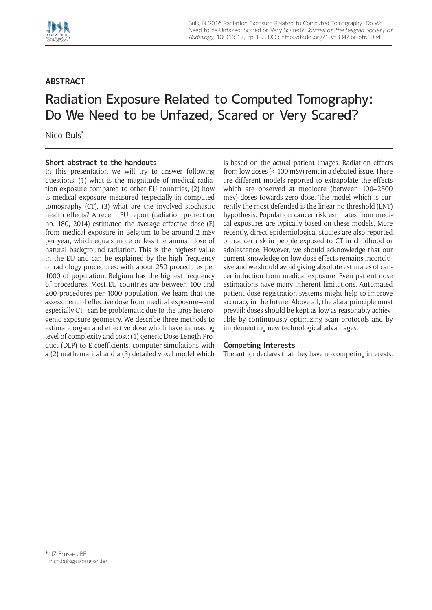

## **ABSTRACT**

## Radiation Exposure Related to Computed Tomography: Do We Need to be Unfazed, Scared or Very Scared?

Nico Buls\*

## **Short abstract to the handouts**

In this presentation we will try to answer following questions: (1) what is the magnitude of medical radiation exposure compared to other EU countries, (2) how is medical exposure measured (especially in computed tomography (CT), (3) what are the involved stochastic health effects? A recent EU report (radiation protection no. 180, 2014) estimated the average effective dose (E) from medical exposure in Belgium to be around 2 mSv per year, which equals more or less the annual dose of natural background radiation. This is the highest value in the EU and can be explained by the high frequency of radiology procedures: with about 250 procedures per 1000 of population, Belgium has the highest frequency of procedures. Most EU countries are between 100 and 200 procedures per 1000 population. We learn that the assessment of effective dose from medical exposure—and especially CT—can be problematic due to the large heterogenic exposure geometry. We describe three methods to estimate organ and effective dose which have increasing level of complexity and cost: (1) generic Dose Length Product (DLP) to E coefficients, computer simulations with a (2) mathematical and a (3) detailed voxel model which is based on the actual patient images. Radiation effects from low doses (< 100 mSv) remain a debated issue. There are different models reported to extrapolate the effects which are observed at mediocre (between 100–2500 mSv) doses towards zero dose. The model which is currently the most defended is the linear no threshold (LNT) hypothesis. Population cancer risk estimates from medical exposures are typically based on these models. More recently, direct epidemiological studies are also reported on cancer risk in people exposed to CT in childhood or adolescence. However, we should acknowledge that our current knowledge on low dose effects remains inconclusive and we should avoid giving absolute estimates of cancer induction from medical exposure. Even patient dose estimations have many inherent limitations. Automated patient dose registration systems might help to improve accuracy in the future. Above all, the alara principle must prevail: doses should be kept as low as reasonably achievable by continuously optimizing scan protocols and by implementing new technological advantages.

## **Competing Interests**

The author declares that they have no competing interests.

<sup>\*</sup> UZ Brussel, BE [nico.buls@uzbrussel.be](mailto:nico.buls@uzbrussel.be)